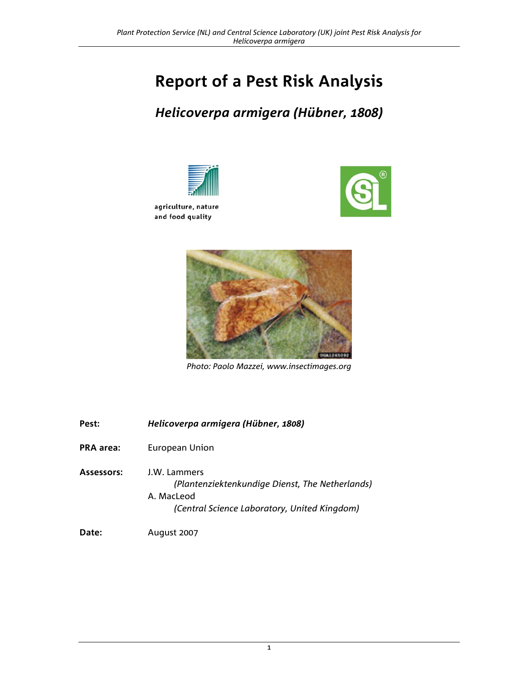# **Report of a Pest Risk Analysis**

## *Helicoverpa armigera (Hübner, 1808)*







*Photo: Paolo Mazzei, www.insectimages.org*

| Pest:            | Helicoverpa armigera (Hübner, 1808)                                                                                           |
|------------------|-------------------------------------------------------------------------------------------------------------------------------|
| <b>PRA</b> area: | European Union                                                                                                                |
| Assessors:       | J.W. Lammers<br>(Plantenziektenkundige Dienst, The Netherlands)<br>A. MacLeod<br>(Central Science Laboratory, United Kingdom) |
| Date:            | August 2007                                                                                                                   |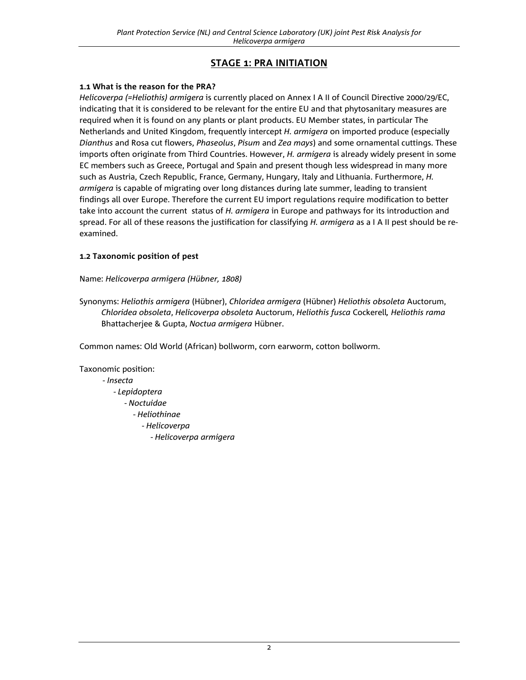## **STAGE 1: PRA INITIATION**

## **1.1 What is the reason for the PRA?**

*Helicoverpa (=Heliothis) armigera* is currently placed on Annex I A II of Council Directive 2000/29/EC, indicating that it is considered to be relevant for the entire EU and that phytosanitary measures are required when it is found on any plants or plant products. EU Member states, in particular The Netherlands and United Kingdom, frequently intercept *H. armigera* on imported produce (especially *Dianthus* and Rosa cut flowers, *Phaseolus*, *Pisum* and *Zea mays*) and some ornamental cuttings. These imports often originate from Third Countries. However, *H. armigera* is already widely present in some EC members such as Greece, Portugal and Spain and present though less widespread in many more such as Austria, Czech Republic, France, Germany, Hungary, Italy and Lithuania. Furthermore, *H. armigera* is capable of migrating over long distances during late summer, leading to transient findings all over Europe. Therefore the current EU import regulations require modification to better take into account the current status of *H. armigera* in Europe and pathways for its introduction and spread. For all of these reasons the justification for classifying *H. armigera* as a I A II pest should be reexamined.

## **1.2 Taxonomic position of pest**

## Name: *Helicoverpa armigera (Hübner, 1808)*

Synonyms: *Heliothis armigera* (Hübner), *Chloridea armigera* (Hübner) *Heliothis obsoleta* Auctorum, *Chloridea obsoleta*, *Helicoverpa obsoleta* Auctorum, *Heliothis fusca* Cockerell*, Heliothis rama* Bhattacherjee & Gupta, *Noctua armigera* Hübner.

Common names: Old World (African) bollworm, corn earworm, cotton bollworm.

Taxonomic position: - *Insecta* - *Lepidoptera* - *Noctuidae*  - *Heliothinae*  - *Helicoverpa* - *Helicoverpa armigera*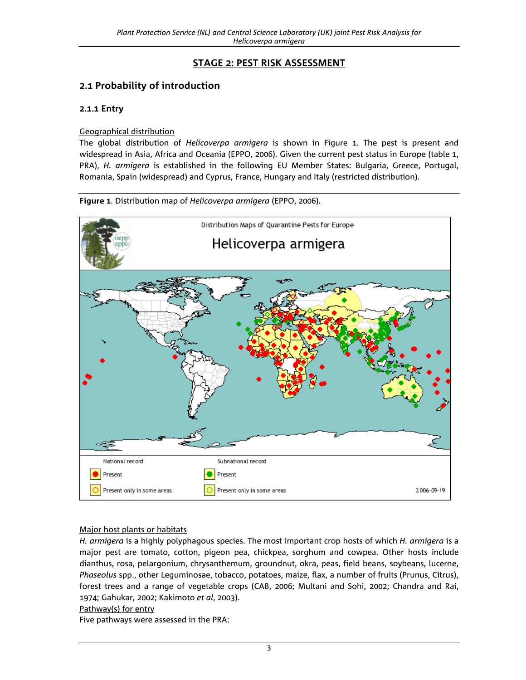## **STAGE 2: PEST RISK ASSESSMENT**

## **2.1 Probability of introduction**

## **2.1.1 Entry**

#### Geographical distribution

The global distribution of *Helicoverpa armigera* is shown in Figure 1. The pest is present and widespread in Asia, Africa and Oceania (EPPO, 2006). Given the current pest status in Europe (table 1, PRA), *H. armigera* is established in the following EU Member States: Bulgaria, Greece, Portugal, Romania, Spain (widespread) and Cyprus, France, Hungary and Italy (restricted distribution).



**Figure 1**. Distribution map of *Helicoverpa armigera* (EPPO, 2006).

## Major host plants or habitats

*H. armigera* is a highly polyphagous species. The most important crop hosts of which *H. armigera* is a major pest are tomato, cotton, pigeon pea, chickpea, sorghum and cowpea. Other hosts include dianthus, rosa, pelargonium, chrysanthemum, groundnut, okra, peas, field beans, soybeans, lucerne, *Phaseolus* spp., other Leguminosae, tobacco, potatoes, maize, flax, a number of fruits (Prunus, Citrus), forest trees and a range of vegetable crops (CAB, 2006; Multani and Sohi, 2002; Chandra and Rai, 1974; Gahukar, 2002; Kakimoto *et al*, 2003).

## Pathway(s) for entry

Five pathways were assessed in the PRA: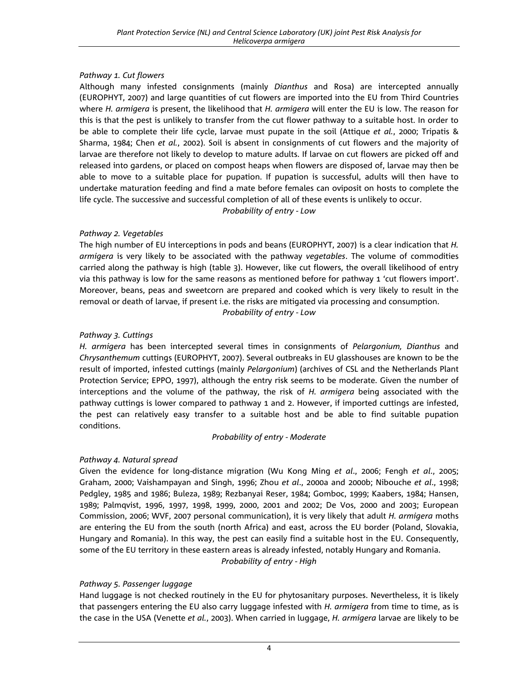## *Pathway 1. Cut flowers*

Although many infested consignments (mainly *Dianthus* and Rosa) are intercepted annually (EUROPHYT, 2007) and large quantities of cut flowers are imported into the EU from Third Countries where *H. armigera* is present, the likelihood that *H. armigera* will enter the EU is low. The reason for this is that the pest is unlikely to transfer from the cut flower pathway to a suitable host. In order to be able to complete their life cycle, larvae must pupate in the soil (Attique *et al.*, 2000; Tripatis & Sharma, 1984; Chen *et al.*, 2002). Soil is absent in consignments of cut flowers and the majority of larvae are therefore not likely to develop to mature adults. If larvae on cut flowers are picked off and released into gardens, or placed on compost heaps when flowers are disposed of, larvae may then be able to move to a suitable place for pupation. If pupation is successful, adults will then have to undertake maturation feeding and find a mate before females can oviposit on hosts to complete the life cycle. The successive and successful completion of all of these events is unlikely to occur.

*Probability of entry - Low* 

## *Pathway 2. Vegetables*

The high number of EU interceptions in pods and beans (EUROPHYT, 2007) is a clear indication that *H. armigera* is very likely to be associated with the pathway *vegetables*. The volume of commodities carried along the pathway is high (table 3). However, like cut flowers, the overall likelihood of entry via this pathway is low for the same reasons as mentioned before for pathway 1 'cut flowers import'. Moreover, beans, peas and sweetcorn are prepared and cooked which is very likely to result in the removal or death of larvae, if present i.e. the risks are mitigated via processing and consumption. *Probability of entry - Low* 

## *Pathway 3. Cuttings*

*H. armigera* has been intercepted several times in consignments of *Pelargonium, Dianthus* and *Chrysanthemum* cuttings (EUROPHYT, 2007). Several outbreaks in EU glasshouses are known to be the result of imported, infested cuttings (mainly *Pelargonium*) (archives of CSL and the Netherlands Plant Protection Service; EPPO, 1997), although the entry risk seems to be moderate. Given the number of interceptions and the volume of the pathway, the risk of *H. armigera* being associated with the pathway cuttings is lower compared to pathway 1 and 2. However, if imported cuttings are infested, the pest can relatively easy transfer to a suitable host and be able to find suitable pupation conditions.

## *Probability of entry - Moderate*

## *Pathway 4. Natural spread*

Given the evidence for long-distance migration (Wu Kong Ming *et al*., 2006; Fengh *et al*., 2005; Graham, 2000; Vaishampayan and Singh, 1996; Zhou *et al*., 2000a and 2000b; Nibouche *et al*., 1998; Pedgley, 1985 and 1986; Buleza, 1989; Rezbanyai Reser, 1984; Gomboc, 1999; Kaabers, 1984; Hansen, 1989; Palmqvist, 1996, 1997, 1998, 1999, 2000, 2001 and 2002; De Vos, 2000 and 2003; European Commission, 2006; WVF, 2007 personal communication), it is very likely that adult *H. armigera* moths are entering the EU from the south (north Africa) and east, across the EU border (Poland, Slovakia, Hungary and Romania). In this way, the pest can easily find a suitable host in the EU. Consequently, some of the EU territory in these eastern areas is already infested, notably Hungary and Romania. *Probability of entry - High* 

## *Pathway 5. Passenger luggage*

Hand luggage is not checked routinely in the EU for phytosanitary purposes. Nevertheless, it is likely that passengers entering the EU also carry luggage infested with *H. armigera* from time to time, as is the case in the USA (Venette *et al.*, 2003). When carried in luggage, *H. armigera* larvae are likely to be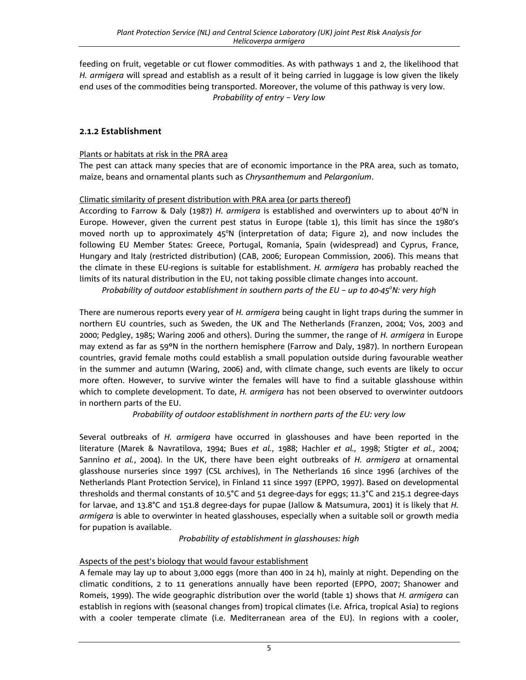feeding on fruit, vegetable or cut flower commodities. As with pathways 1 and 2, the likelihood that *H. armigera* will spread and establish as a result of it being carried in luggage is low given the likely end uses of the commodities being transported. Moreover, the volume of this pathway is very low. *Probability of entry – Very low* 

## **2.1.2 Establishment**

## Plants or habitats at risk in the PRA area

The pest can attack many species that are of economic importance in the PRA area, such as tomato, maize, beans and ornamental plants such as *Chrysanthemum* and *Pelargonium*.

## Climatic similarity of present distribution with PRA area (or parts thereof)

According to Farrow & Daly (1987) H. armigera is established and overwinters up to about 40°N in Europe. However, given the current pest status in Europe (table 1), this limit has since the 1980's moved north up to approximately 45°N (interpretation of data; Figure 2), and now includes the following EU Member States: Greece, Portugal, Romania, Spain (widespread) and Cyprus, France, Hungary and Italy (restricted distribution) (CAB, 2006; European Commission, 2006). This means that the climate in these EU-regions is suitable for establishment. *H. armigera* has probably reached the limits of its natural distribution in the EU, not taking possible climate changes into account.

*Probability of outdoor establishment in southern parts of the EU – up to 40-45°N: very high* 

There are numerous reports every year of *H. armigera* being caught in light traps during the summer in northern EU countries, such as Sweden, the UK and The Netherlands (Franzen, 2004; Vos, 2003 and 2000; Pedgley, 1985; Waring 2006 and others). During the summer, the range of *H. armigera* in Europe may extend as far as 59ºN in the northern hemisphere (Farrow and Daly, 1987). In northern European countries, gravid female moths could establish a small population outside during favourable weather in the summer and autumn (Waring, 2006) and, with climate change, such events are likely to occur more often. However, to survive winter the females will have to find a suitable glasshouse within which to complete development. To date, *H. armigera* has not been observed to overwinter outdoors in northern parts of the EU.

*Probability of outdoor establishment in northern parts of the EU: very low* 

Several outbreaks of *H. armigera* have occurred in glasshouses and have been reported in the literature (Marek & Navratilova, 1994; Bues *et al.*, 1988; Hachler *et al.,* 1998; Stigter *et al.*, 2004; Sannino *et al.*, 2004). In the UK, there have been eight outbreaks of *H. armigera* at ornamental glasshouse nurseries since 1997 (CSL archives), in The Netherlands 16 since 1996 (archives of the Netherlands Plant Protection Service), in Finland 11 since 1997 (EPPO, 1997). Based on developmental thresholds and thermal constants of 10.5°C and 51 degree-days for eggs; 11.3°C and 215.1 degree-days for larvae, and 13.8°C and 151.8 degree-days for pupae (Jallow & Matsumura, 2001) it is likely that *H. armigera* is able to overwinter in heated glasshouses, especially when a suitable soil or growth media for pupation is available.

*Probability of establishment in glasshouses: high* 

## Aspects of the pest's biology that would favour establishment

A female may lay up to about 3,000 eggs (more than 400 in 24 h), mainly at night. Depending on the climatic conditions, 2 to 11 generations annually have been reported (EPPO, 2007; Shanower and Romeis, 1999). The wide geographic distribution over the world (table 1) shows that *H. armigera* can establish in regions with (seasonal changes from) tropical climates (i.e. Africa, tropical Asia) to regions with a cooler temperate climate (i.e. Mediterranean area of the EU). In regions with a cooler,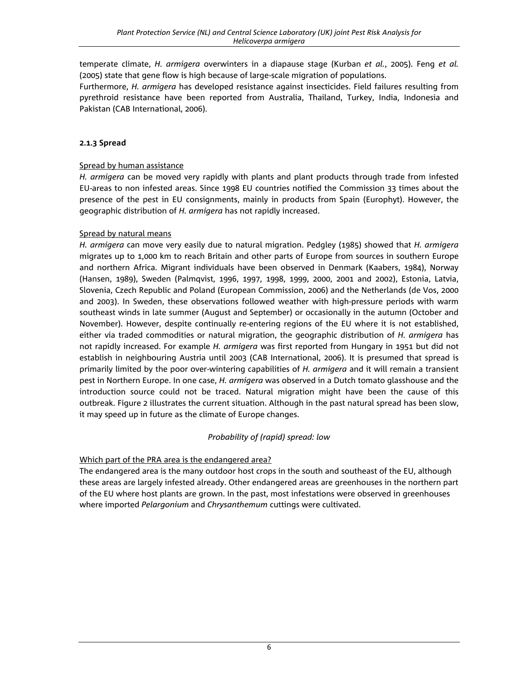temperate climate, *H. armigera* overwinters in a diapause stage (Kurban *et al.*, 2005). Feng *et al.*  (2005) state that gene flow is high because of large-scale migration of populations.

Furthermore, *H. armigera* has developed resistance against insecticides. Field failures resulting from pyrethroid resistance have been reported from Australia, Thailand, Turkey, India, Indonesia and Pakistan (CAB International, 2006).

## **2.1.3 Spread**

#### Spread by human assistance

*H. armigera* can be moved very rapidly with plants and plant products through trade from infested EU-areas to non infested areas. Since 1998 EU countries notified the Commission 33 times about the presence of the pest in EU consignments, mainly in products from Spain (Europhyt). However, the geographic distribution of *H. armigera* has not rapidly increased.

#### Spread by natural means

*H. armigera* can move very easily due to natural migration. Pedgley (1985) showed that *H. armigera* migrates up to 1,000 km to reach Britain and other parts of Europe from sources in southern Europe and northern Africa. Migrant individuals have been observed in Denmark (Kaabers, 1984), Norway (Hansen, 1989), Sweden (Palmqvist, 1996, 1997, 1998, 1999, 2000, 2001 and 2002), Estonia, Latvia, Slovenia, Czech Republic and Poland (European Commission, 2006) and the Netherlands (de Vos, 2000 and 2003). In Sweden, these observations followed weather with high-pressure periods with warm southeast winds in late summer (August and September) or occasionally in the autumn (October and November). However, despite continually re-entering regions of the EU where it is not established, either via traded commodities or natural migration, the geographic distribution of *H. armigera* has not rapidly increased. For example *H. armigera* was first reported from Hungary in 1951 but did not establish in neighbouring Austria until 2003 (CAB International, 2006). It is presumed that spread is primarily limited by the poor over-wintering capabilities of *H. armigera* and it will remain a transient pest in Northern Europe. In one case, *H. armigera* was observed in a Dutch tomato glasshouse and the introduction source could not be traced. Natural migration might have been the cause of this outbreak. Figure 2 illustrates the current situation. Although in the past natural spread has been slow, it may speed up in future as the climate of Europe changes.

## *Probability of (rapid) spread: low*

## Which part of the PRA area is the endangered area?

The endangered area is the many outdoor host crops in the south and southeast of the EU, although these areas are largely infested already. Other endangered areas are greenhouses in the northern part of the EU where host plants are grown. In the past, most infestations were observed in greenhouses where imported *Pelargonium* and *Chrysanthemum* cuttings were cultivated.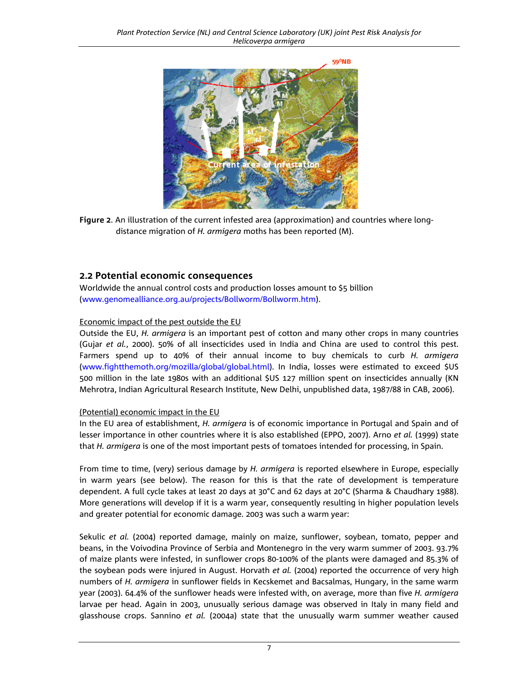

**Figure 2**. An illustration of the current infested area (approximation) and countries where longdistance migration of *H. armigera* moths has been reported (M).

## **2.2 Potential economic consequences**

Worldwide the annual control costs and production losses amount to \$5 billion (www.genomealliance.org.au/projects/Bollworm/Bollworm.htm).

## Economic impact of the pest outside the EU

Outside the EU, *H. armigera* is an important pest of cotton and many other crops in many countries (Gujar *et al.*, 2000). 50% of all insecticides used in India and China are used to control this pest. Farmers spend up to 40% of their annual income to buy chemicals to curb *H. armigera* [\(www.fightthemoth.org/mozilla/global/global.html\).](http://www.fightthemoth.org/mozilla/global/global.html) In India, losses were estimated to exceed \$US 500 million in the late 1980s with an additional \$US 127 million spent on insecticides annually (KN Mehrotra, Indian Agricultural Research Institute, New Delhi, unpublished data, 1987/88 in CAB, 2006).

## (Potential) economic impact in the EU

In the EU area of establishment, *H. armigera* is of economic importance in Portugal and Spain and of lesser importance in other countries where it is also established (EPPO, 2007). Arno *et al.* (1999) state that *H. armigera* is one of the most important pests of tomatoes intended for processing, in Spain.

From time to time, (very) serious damage by *H. armigera* is reported elsewhere in Europe, especially in warm years (see below). The reason for this is that the rate of development is temperature dependent. A full cycle takes at least 20 days at 30°C and 62 days at 20°C (Sharma & Chaudhary 1988). More generations will develop if it is a warm year, consequently resulting in higher population levels and greater potential for economic damage. 2003 was such a warm year:

Sekulic *et al.* (2004) reported damage, mainly on maize, sunflower, soybean, tomato, pepper and beans, in the Voivodina Province of Serbia and Montenegro in the very warm summer of 2003. 93.7% of maize plants were infested, in sunflower crops 80-100% of the plants were damaged and 85.3% of the soybean pods were injured in August. Horvath *et al.* (2004) reported the occurrence of very high numbers of *H. armigera* in sunflower fields in Kecskemet and Bacsalmas, Hungary, in the same warm year (2003). 64.4% of the sunflower heads were infested with, on average, more than five *H. armigera*  larvae per head. Again in 2003, unusually serious damage was observed in Italy in many field and glasshouse crops. Sannino *et al.* (2004a) state that the unusually warm summer weather caused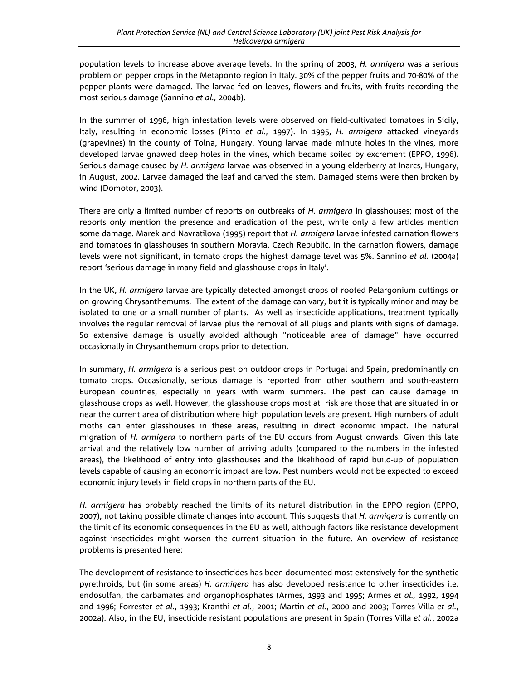population levels to increase above average levels. In the spring of 2003, *H. armigera* was a serious problem on pepper crops in the Metaponto region in Italy. 30% of the pepper fruits and 70-80% of the pepper plants were damaged. The larvae fed on leaves, flowers and fruits, with fruits recording the most serious damage (Sannino *et al.,* 2004b).

In the summer of 1996, high infestation levels were observed on field-cultivated tomatoes in Sicily, Italy, resulting in economic losses (Pinto *et al.,* 1997). In 1995, *H. armigera* attacked vineyards (grapevines) in the county of Tolna, Hungary. Young larvae made minute holes in the vines, more developed larvae gnawed deep holes in the vines, which became soiled by excrement (EPPO, 1996). Serious damage caused by *H. armigera* larvae was observed in a young elderberry at Inarcs, Hungary, in August, 2002. Larvae damaged the leaf and carved the stem. Damaged stems were then broken by wind (Domotor, 2003).

There are only a limited number of reports on outbreaks of *H. armigera* in glasshouses; most of the reports only mention the presence and eradication of the pest, while only a few articles mention some damage. Marek and Navratilova (1995) report that *H. armigera* larvae infested carnation flowers and tomatoes in glasshouses in southern Moravia, Czech Republic. In the carnation flowers, damage levels were not significant, in tomato crops the highest damage level was 5%. Sannino *et al.* (2004a) report 'serious damage in many field and glasshouse crops in Italy'.

In the UK, *H. armigera* larvae are typically detected amongst crops of rooted Pelargonium cuttings or on growing Chrysanthemums. The extent of the damage can vary, but it is typically minor and may be isolated to one or a small number of plants. As well as insecticide applications, treatment typically involves the regular removal of larvae plus the removal of all plugs and plants with signs of damage. So extensive damage is usually avoided although "noticeable area of damage" have occurred occasionally in Chrysanthemum crops prior to detection.

In summary, *H. armigera* is a serious pest on outdoor crops in Portugal and Spain, predominantly on tomato crops. Occasionally, serious damage is reported from other southern and south-eastern European countries, especially in years with warm summers. The pest can cause damage in glasshouse crops as well. However, the glasshouse crops most at risk are those that are situated in or near the current area of distribution where high population levels are present. High numbers of adult moths can enter glasshouses in these areas, resulting in direct economic impact. The natural migration of *H. armigera* to northern parts of the EU occurs from August onwards. Given this late arrival and the relatively low number of arriving adults (compared to the numbers in the infested areas), the likelihood of entry into glasshouses and the likelihood of rapid build-up of population levels capable of causing an economic impact are low. Pest numbers would not be expected to exceed economic injury levels in field crops in northern parts of the EU.

*H. armigera* has probably reached the limits of its natural distribution in the EPPO region (EPPO, 2007), not taking possible climate changes into account. This suggests that *H. armigera* is currently on the limit of its economic consequences in the EU as well, although factors like resistance development against insecticides might worsen the current situation in the future. An overview of resistance problems is presented here:

The development of resistance to insecticides has been documented most extensively for the synthetic pyrethroids, but (in some areas) *H. armigera* has also developed resistance to other insecticides i.e. endosulfan, the carbamates and organophosphates (Armes, 1993 and 1995; Armes *et al.,* 1992, 1994 and 1996; Forrester *et al.*, 1993; Kranthi *et al.*, 2001; Martin *et al.*, 2000 and 2003; Torres Villa *et al.*, 2002a). Also, in the EU, insecticide resistant populations are present in Spain (Torres Villa *et al.*, 2002a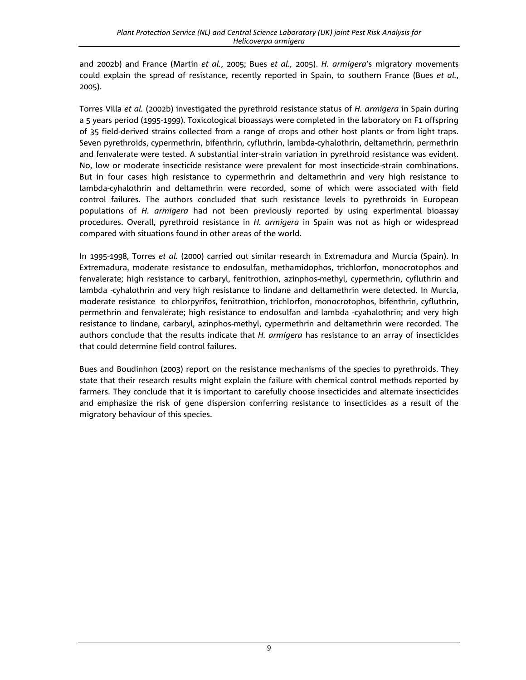and 2002b) and France (Martin *et al.*, 2005; Bues *et al.,* 2005). *H. armigera*'s migratory movements could explain the spread of resistance, recently reported in Spain, to southern France (Bues *et al.*, 2005).

Torres Villa *et al.* (2002b) investigated the pyrethroid resistance status of *H. armigera* in Spain during a 5 years period (1995-1999). Toxicological bioassays were completed in the laboratory on F1 offspring of 35 field-derived strains collected from a range of crops and other host plants or from light traps. Seven pyrethroids, cypermethrin, bifenthrin, cyfluthrin, lambda-cyhalothrin, deltamethrin, permethrin and fenvalerate were tested. A substantial inter-strain variation in pyrethroid resistance was evident. No, low or moderate insecticide resistance were prevalent for most insecticide-strain combinations. But in four cases high resistance to cypermethrin and deltamethrin and very high resistance to lambda-cyhalothrin and deltamethrin were recorded, some of which were associated with field control failures. The authors concluded that such resistance levels to pyrethroids in European populations of *H. armigera* had not been previously reported by using experimental bioassay procedures. Overall, pyrethroid resistance in *H. armigera* in Spain was not as high or widespread compared with situations found in other areas of the world.

In 1995-1998, Torres *et al.* (2000) carried out similar research in Extremadura and Murcia (Spain). In Extremadura, moderate resistance to endosulfan, methamidophos, trichlorfon, monocrotophos and fenvalerate; high resistance to carbaryl, fenitrothion, azinphos-methyl, cypermethrin, cyfluthrin and lambda -cyhalothrin and very high resistance to lindane and deltamethrin were detected. In Murcia, moderate resistance to chlorpyrifos, fenitrothion, trichlorfon, monocrotophos, bifenthrin, cyfluthrin, permethrin and fenvalerate; high resistance to endosulfan and lambda -cyahalothrin; and very high resistance to lindane, carbaryl, azinphos-methyl, cypermethrin and deltamethrin were recorded. The authors conclude that the results indicate that *H. armigera* has resistance to an array of insecticides that could determine field control failures.

Bues and Boudinhon (2003) report on the resistance mechanisms of the species to pyrethroids. They state that their research results might explain the failure with chemical control methods reported by farmers. They conclude that it is important to carefully choose insecticides and alternate insecticides and emphasize the risk of gene dispersion conferring resistance to insecticides as a result of the migratory behaviour of this species.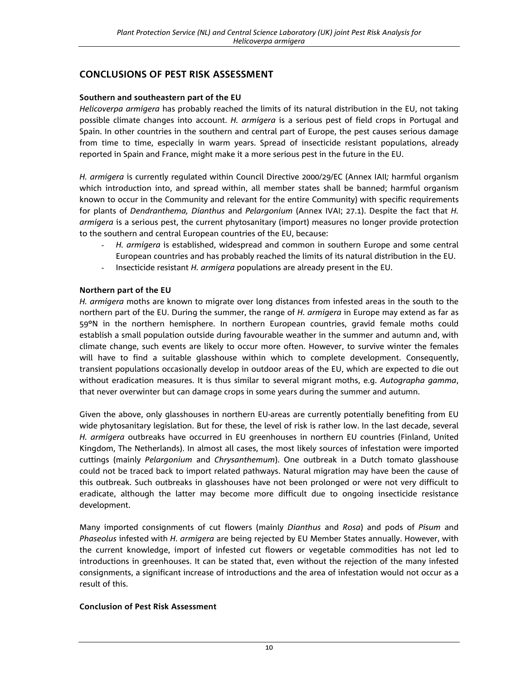## **CONCLUSIONS OF PEST RISK ASSESSMENT**

#### **Southern and southeastern part of the EU**

*Helicoverpa armigera* has probably reached the limits of its natural distribution in the EU, not taking possible climate changes into account. *H. armigera* is a serious pest of field crops in Portugal and Spain. In other countries in the southern and central part of Europe, the pest causes serious damage from time to time, especially in warm years. Spread of insecticide resistant populations, already reported in Spain and France, might make it a more serious pest in the future in the EU.

*H. armigera* is currently regulated within Council Directive 2000/29/EC (Annex IAII*;* harmful organism which introduction into, and spread within, all member states shall be banned; harmful organism known to occur in the Community and relevant for the entire Community) with specific requirements for plants of *Dendranthema, Dianthus* and *Pelargonium* (Annex IVAI; 27.1). Despite the fact that *H. armigera* is a serious pest, the current phytosanitary (import) measures no longer provide protection to the southern and central European countries of the EU, because:

- H. armigera is established, widespread and common in southern Europe and some central European countries and has probably reached the limits of its natural distribution in the EU.
- Insecticide resistant *H. armigera* populations are already present in the EU.

## **Northern part of the EU**

*H. armigera* moths are known to migrate over long distances from infested areas in the south to the northern part of the EU. During the summer, the range of *H. armigera* in Europe may extend as far as 59ºN in the northern hemisphere. In northern European countries, gravid female moths could establish a small population outside during favourable weather in the summer and autumn and, with climate change, such events are likely to occur more often. However, to survive winter the females will have to find a suitable glasshouse within which to complete development. Consequently, transient populations occasionally develop in outdoor areas of the EU, which are expected to die out without eradication measures. It is thus similar to several migrant moths, e.g. *Autographa gamma*, that never overwinter but can damage crops in some years during the summer and autumn.

Given the above, only glasshouses in northern EU-areas are currently potentially benefiting from EU wide phytosanitary legislation. But for these, the level of risk is rather low. In the last decade, several *H. armigera* outbreaks have occurred in EU greenhouses in northern EU countries (Finland, United Kingdom, The Netherlands). In almost all cases, the most likely sources of infestation were imported cuttings (mainly *Pelargonium* and *Chrysanthemum*). One outbreak in a Dutch tomato glasshouse could not be traced back to import related pathways. Natural migration may have been the cause of this outbreak. Such outbreaks in glasshouses have not been prolonged or were not very difficult to eradicate, although the latter may become more difficult due to ongoing insecticide resistance development.

Many imported consignments of cut flowers (mainly *Dianthus* and *Rosa*) and pods of *Pisum* and *Phaseolus* infested with *H. armigera* are being rejected by EU Member States annually. However, with the current knowledge, import of infested cut flowers or vegetable commodities has not led to introductions in greenhouses. It can be stated that, even without the rejection of the many infested consignments, a significant increase of introductions and the area of infestation would not occur as a result of this.

## **Conclusion of Pest Risk Assessment**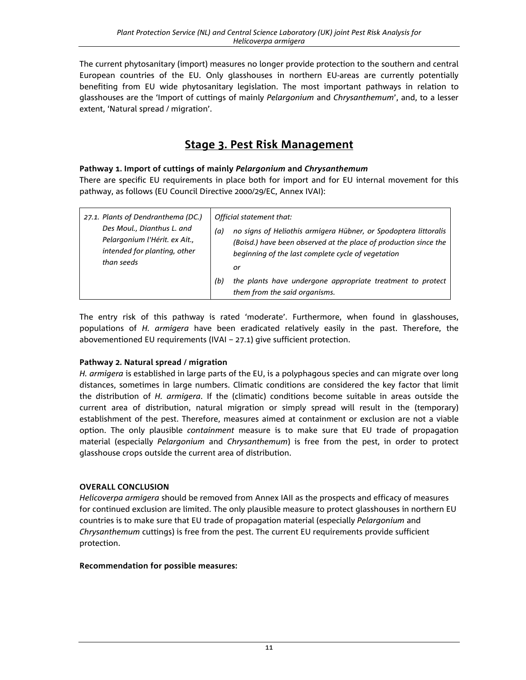The current phytosanitary (import) measures no longer provide protection to the southern and central European countries of the EU. Only glasshouses in northern EU-areas are currently potentially benefiting from EU wide phytosanitary legislation. The most important pathways in relation to glasshouses are the 'Import of cuttings of mainly *Pelargonium* and *Chrysanthemum*', and, to a lesser extent, 'Natural spread / migration'.

## **Stage 3. Pest Risk Management**

## **Pathway 1. Import of cuttings of mainly** *Pelargonium* **and** *Chrysanthemum*

There are specific EU requirements in place both for import and for EU internal movement for this pathway, as follows (EU Council Directive 2000/29/EC, Annex IVAI):

| 27.1. Plants of Dendranthema (DC.)<br>Des Moul., Dianthus L. and<br>Pelargonium l'Hérit. ex Ait.,<br>intended for planting, other<br>than seeds | Official statement that:<br>no signs of Heliothis armigera Hübner, or Spodoptera littoralis<br>(a)<br>(Boisd.) have been observed at the place of production since the<br>beginning of the last complete cycle of vegetation<br>or |
|-------------------------------------------------------------------------------------------------------------------------------------------------|------------------------------------------------------------------------------------------------------------------------------------------------------------------------------------------------------------------------------------|
|                                                                                                                                                 | the plants have undergone appropriate treatment to protect<br>(b)<br>them from the said organisms.                                                                                                                                 |

The entry risk of this pathway is rated 'moderate'. Furthermore, when found in glasshouses, populations of *H. armigera* have been eradicated relatively easily in the past. Therefore, the abovementioned EU requirements (IVAI – 27.1) give sufficient protection.

## **Pathway 2. Natural spread / migration**

*H. armigera* is established in large parts of the EU, is a polyphagous species and can migrate over long distances, sometimes in large numbers. Climatic conditions are considered the key factor that limit the distribution of *H. armigera*. If the (climatic) conditions become suitable in areas outside the current area of distribution, natural migration or simply spread will result in the (temporary) establishment of the pest. Therefore, measures aimed at containment or exclusion are not a viable option. The only plausible *containment* measure is to make sure that EU trade of propagation material (especially *Pelargonium* and *Chrysanthemum*) is free from the pest, in order to protect glasshouse crops outside the current area of distribution.

## **OVERALL CONCLUSION**

*Helicoverpa armigera* should be removed from Annex IAII as the prospects and efficacy of measures for continued exclusion are limited. The only plausible measure to protect glasshouses in northern EU countries is to make sure that EU trade of propagation material (especially *Pelargonium* and *Chrysanthemum* cuttings) is free from the pest. The current EU requirements provide sufficient protection.

## **Recommendation for possible measures:**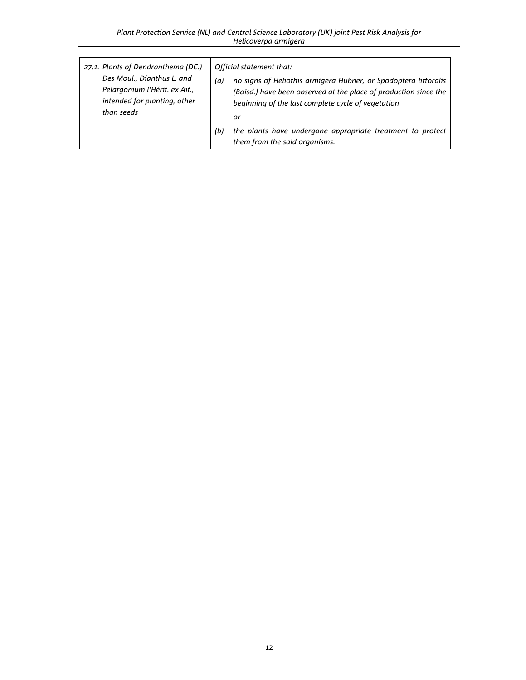| 27.1. Plants of Dendranthema (DC.)<br>Des Moul., Dianthus L. and<br>Pelargonium l'Hérit. ex Ait.,<br>intended for planting, other<br>than seeds | Official statement that:<br>no signs of Heliothis armigera Hübner, or Spodoptera littoralis<br>(a)<br>(Boisd.) have been observed at the place of production since the<br>beginning of the last complete cycle of vegetation<br>or |
|-------------------------------------------------------------------------------------------------------------------------------------------------|------------------------------------------------------------------------------------------------------------------------------------------------------------------------------------------------------------------------------------|
|                                                                                                                                                 | the plants have undergone appropriate treatment to protect<br>(b)<br>them from the said organisms.                                                                                                                                 |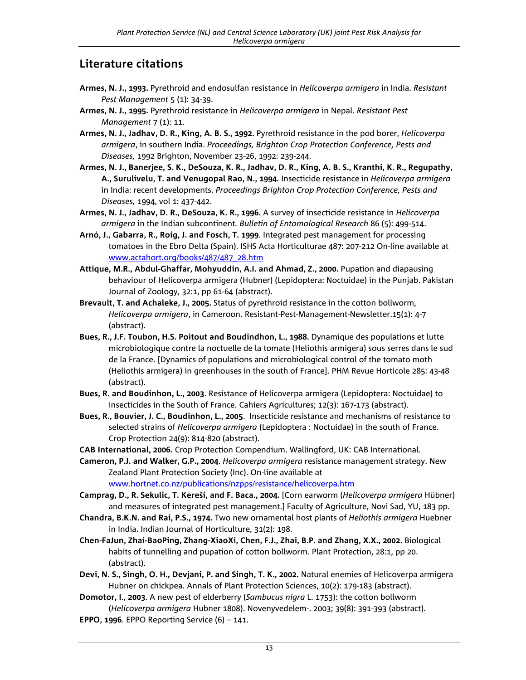## **Literature citations**

- **Armes, N. J., 1993.** Pyrethroid and endosulfan resistance in *Helicoverpa armigera* in India. *Resistant Pest Management* 5 (1): 34-39.
- **Armes, N. J., 1995.** Pyrethroid resistance in *Helicoverpa armigera* in Nepal. *Resistant Pest Management* 7 (1): 11.
- **Armes, N. J., Jadhav, D. R., King, A. B. S., 1992.** Pyrethroid resistance in the pod borer, *Helicoverpa armigera*, in southern India. *Proceedings, Brighton Crop Protection Conference, Pests and Diseases,* 1992 Brighton, November 23-26, 1992: 239-244.
- **Armes, N. J., Banerjee, S. K., DeSouza, K. R., Jadhav, D. R., King, A. B. S., Kranthi, K. R., Regupathy, A., Surulivelu, T. and Venugopal Rao, N., 1994.** Insecticide resistance in *Helicoverpa armigera* in India: recent developments. *Proceedings Brighton Crop Protection Conference, Pests and Diseases,* 1994, vol 1: 437-442.
- **Armes, N. J., Jadhav, D. R., DeSouza, K. R., 1996.** A survey of insecticide resistance in *Helicoverpa armigera* in the Indian subcontinent*. Bulletin of Entomological Research* 86 (5): 499-514.
- **Arnó, J., Gabarra, R., Roig, J. and Fosch, T. 1999**. Integrated pest management for processing tomatoes in the Ebro Delta (Spain). ISHS Acta Horticulturae 487: 207-212 On-line available at www.actahort.org/books/487/487\_28.htm
- **Attique, M.R., Abdul-Ghaffar, Mohyuddin, A.I. and Ahmad, Z., 2000.** Pupation and diapausing behaviour of Helicoverpa armigera (Hubner) (Lepidoptera: Noctuidae) in the Punjab. Pakistan Journal of Zoology, 32:1, pp 61-64 (abstract).
- **Brevault, T. and Achaleke, J., 2005.** Status of pyrethroid resistance in the cotton bollworm, *Helicoverpa armigera*, in Cameroon. Resistant-Pest-Management-Newsletter.15(1): 4-7 (abstract).
- **Bues, R., J.F. Toubon, H.S. Poitout and Boudindhon, L., 1988.** Dynamique des populations et lutte microbiologique contre la noctuelle de la tomate (Heliothis armigera) sous serres dans le sud de la France. [Dynamics of populations and microbiological control of the tomato moth (Heliothis armigera) in greenhouses in the south of France]. PHM Revue Horticole 285: 43-48 (abstract).
- **Bues, R. and Boudinhon, L., 2003**. Resistance of Helicoverpa armigera (Lepidoptera: Noctuidae) to insecticides in the South of France. Cahiers Agricultures; 12(3): 167-173 (abstract).
- **Bues, R., Bouvier, J. C., Boudinhon, L., 2005**. Insecticide resistance and mechanisms of resistance to selected strains of *Helicoverpa armigera* (Lepidoptera : Noctuidae) in the south of France. Crop Protection 24(9): 814-820 (abstract).
- **CAB International, 2006.** Crop Protection Compendium. Wallingford, UK: CAB International.

**Cameron, P.J. and Walker, G.P., 2004**. *Helicoverpa armigera* resistance management strategy. New Zealand Plant Protection Society (Inc). On-line available at [www.hortnet.co.nz/publications/nzpps/resistance/helicoverpa.htm](http://www.hortnet.co.nz/publications/nzpps/resistance/helicoverpa.htm) 

**Camprag, D., R. Sekulic, T. Kereši, and F. Baca., 2004.** [Corn earworm (*Helicoverpa armigera* Hübner) and measures of integrated pest management.] Faculty of Agriculture, Novi Sad, YU, 183 pp.

- **Chandra, B.K.N. and Rai, P.S., 1974.** Two new ornamental host plants of *Heliothis armigera* Huebner in India. Indian Journal of Horticulture, 31(2): 198.
- **Chen-FaJun, Zhai-BaoPing, Zhang-XiaoXi, Chen, F.J., Zhai, B.P. and Zhang, X.X., 2002**. Biological habits of tunnelling and pupation of cotton bollworm. Plant Protection, 28:1, pp 20. (abstract).
- **Devi, N. S., Singh, O. H., Devjani, P. and Singh, T. K., 2002.** Natural enemies of Helicoverpa armigera Hubner on chickpea. Annals of Plant Protection Sciences, 10(2): 179-183 (abstract).
- **Domotor, I**., **2003**. A new pest of elderberry (*Sambucus nigra* L. 1753): the cotton bollworm (*Helicoverpa armigera* Hubner 1808). Novenyvedelem-. 2003; 39(8): 391-393 (abstract).
- **EPPO, 1996**. EPPO Reporting Service (6) 141.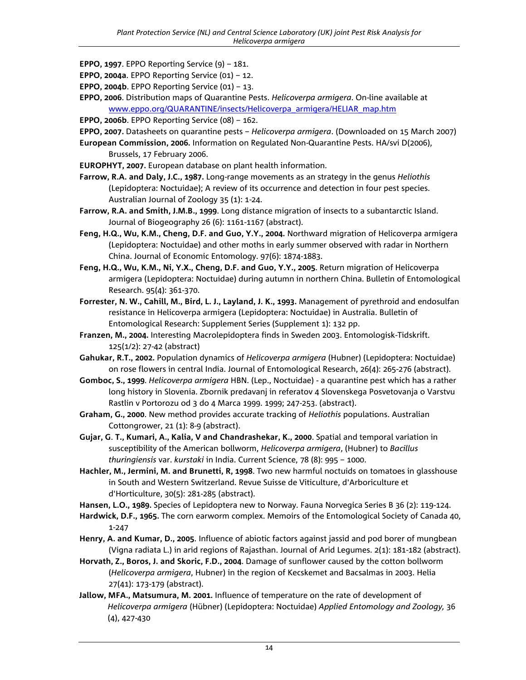- **EPPO, 1997**. EPPO Reporting Service (9) 181.
- **EPPO, 2004a**. EPPO Reporting Service (01) 12.
- **EPPO, 2004b**. EPPO Reporting Service (01) 13.
- **EPPO, 2006**. Distribution maps of Quarantine Pests. *Helicoverpa armigera*. On-line available at [www.eppo.org/QUARANTINE/insects/Helicoverpa\\_armigera/HELIAR\\_map.htm](http://www.eppo.org/QUARANTINE/insects/Helicoverpa_armigera/HELIAR_map.htm)
- **EPPO, 2006b**. EPPO Reporting Service (08) 162.
- **EPPO, 2007.** Datasheets on quarantine pests *Helicoverpa armigera*. (Downloaded on 15 March 2007)
- **European Commission, 2006.** Information on Regulated Non-Quarantine Pests. HA/svi D(2006), Brussels, 17 February 2006.
- **EUROPHYT, 2007.** European database on plant health information.
- **Farrow, R.A. and Daly, J.C., 1987.** Long-range movements as an strategy in the genus *Heliothis* (Lepidoptera: Noctuidae); A review of its occurrence and detection in four pest species. Australian Journal of Zoology 35 (1): 1-24.
- **Farrow, R.A. and Smith, J.M.B., 1999**. Long distance migration of insects to a subantarctic Island. Journal of Biogeography 26 (6): 1161-1167 (abstract).
- **Feng, H.Q., Wu, K.M., Cheng, D.F. and Guo, Y.Y., 2004.** Northward migration of Helicoverpa armigera (Lepidoptera: Noctuidae) and other moths in early summer observed with radar in Northern China. Journal of Economic Entomology. 97(6): 1874-1883.
- **Feng, H.Q., Wu, K.M., Ni, Y.X., Cheng, D.F. and Guo, Y.Y., 2005**. Return migration of Helicoverpa armigera (Lepidoptera: Noctuidae) during autumn in northern China. Bulletin of Entomological Research. 95(4): 361-370.
- **Forrester, N. W., Cahill, M., Bird, L. J., Layland, J. K., 1993.** Management of pyrethroid and endosulfan resistance in Helicoverpa armigera (Lepidoptera: Noctuidae) in Australia. Bulletin of Entomological Research: Supplement Series (Supplement 1): 132 pp.
- **Franzen, M., 2004.** Interesting Macrolepidoptera finds in Sweden 2003. Entomologisk-Tidskrift. 125(1/2): 27-42 (abstract)
- **Gahukar, R.T., 2002.** Population dynamics of *Helicoverpa armigera* (Hubner) (Lepidoptera: Noctuidae) on rose flowers in central India. Journal of Entomological Research, 26(4): 265-276 (abstract).
- **Gomboc, S., 1999**. *Helicoverpa armigera* HBN. (Lep., Noctuidae) a quarantine pest which has a rather long history in Slovenia. Zbornik predavanj in referatov 4 Slovenskega Posvetovanja o Varstvu Rastlin v Portorozu od 3 do 4 Marca 1999. 1999; 247-253. (abstract).
- **Graham, G., 2000**. New method provides accurate tracking of *Heliothis* populations. Australian Cottongrower, 21 (1): 8-9 (abstract).
- **Gujar, G**. **T., Kumari, A., Kalia, V and Chandrashekar, K., 2000**. Spatial and temporal variation in susceptibility of the American bollworm, *Helicoverpa armigera*, (Hubner) to *Bacillus thuringiensis* var. *kurstaki* in India. Current Science, 78 (8): 995 – 1000.
- **Hachler, M., Jermini, M. and Brunetti, R, 1998**. Two new harmful noctuids on tomatoes in glasshouse in South and Western Switzerland. Revue Suisse de Viticulture, d'Arboriculture et d'Horticulture, 30(5): 281-285 (abstract).
- **Hansen, L.O., 1989.** Species of Lepidoptera new to Norway. Fauna Norvegica Series B 36 (2): 119-124.
- **Hardwick, D.F., 1965.** The corn earworm complex. Memoirs of the Entomological Society of Canada 40, 1-247
- **Henry, A. and Kumar, D., 2005**. Influence of abiotic factors against jassid and pod borer of mungbean (Vigna radiata L.) in arid regions of Rajasthan. Journal of Arid Legumes. 2(1): 181-182 (abstract).
- **Horvath, Z., Boros, J. and Skoric, F.D., 2004**. Damage of sunflower caused by the cotton bollworm (*Helicoverpa armigera*, Hubner) in the region of Kecskemet and Bacsalmas in 2003. Helia 27(41): 173-179 (abstract).
- **Jallow, MFA., Matsumura, M. 2001.** Influence of temperature on the rate of development of *Helicoverpa armigera* (Hübner) (Lepidoptera: Noctuidae) *Applied Entomology and Zoology,* 36 (4), 427-430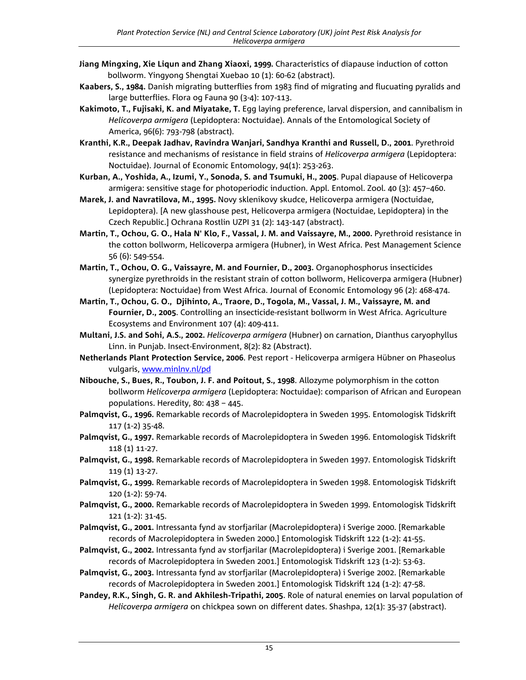- **Jiang Mingxing, Xie Liqun and Zhang Xiaoxi, 1999.** Characteristics of diapause induction of cotton bollworm. Yingyong Shengtai Xuebao 10 (1): 60-62 (abstract).
- **Kaabers, S., 1984.** Danish migrating butterflies from 1983 find of migrating and flucuating pyralids and large butterflies. Flora og Fauna 90 (3-4): 107-113.
- **Kakimoto, T., Fujisaki, K. and Miyatake, T.** Egg laying preference, larval dispersion, and cannibalism in *Helicoverpa armigera* (Lepidoptera: Noctuidae). Annals of the Entomological Society of America, 96(6): 793-798 (abstract).
- **Kranthi, K.R., Deepak Jadhav, Ravindra Wanjari, Sandhya Kranthi and Russell, D., 2001**. Pyrethroid resistance and mechanisms of resistance in field strains of *Helicoverpa armigera* (Lepidoptera: Noctuidae). Journal of Economic Entomology, 94(1): 253-263.
- **Kurban, A., Yoshida, A., Izumi, Y., Sonoda, S. and Tsumuki, H., 2005**. Pupal diapause of Helicoverpa armigera: sensitive stage for photoperiodic induction. Appl. Entomol. Zool. 40 (3): 457–460.
- **Marek, J. and Navratilova, M., 1995.** Novy sklenikovy skudce, Helicoverpa armigera (Noctuidae, Lepidoptera). [A new glasshouse pest, Helicoverpa armigera (Noctuidae, Lepidoptera) in the Czech Republic.] Ochrana Rostlin UZPI 31 (2): 143-147 (abstract).
- **Martin, T., Ochou, G. O., Hala N' Klo, F., Vassal, J. M. and Vaissayre, M., 2000.** Pyrethroid resistance in the cotton bollworm, Helicoverpa armigera (Hubner), in West Africa. Pest Management Science 56 (6): 549-554.
- **Martin, T., Ochou, O. G., Vaissayre, M. and Fournier, D., 2003.** Organophosphorus insecticides synergize pyrethroids in the resistant strain of cotton bollworm, Helicoverpa armigera (Hubner) (Lepidoptera: Noctuidae) from West Africa. Journal of Economic Entomology 96 (2): 468-474.
- **Martin, T., Ochou, G. O., Djihinto, A., Traore, D., Togola, M., Vassal, J. M., Vaissayre, M. and Fournier, D., 2005**. Controlling an insecticide-resistant bollworm in West Africa. Agriculture Ecosystems and Environment 107 (4): 409-411.
- **Multani, J.S. and Sohi, A.S., 2002.** *Helicoverpa armigera* (Hubner) on carnation, Dianthus caryophyllus Linn. in Punjab. Insect-Environment, 8(2): 82 (Abstract).
- **Netherlands Plant Protection Service, 2006**. Pest report Helicoverpa armigera Hübner on Phaseolus vulgaris[, www.minlnv.nl/pd](http://www.minlnv.nl/pd)
- **Nibouche, S., Bues, R., Toubon, J. F. and Poitout, S., 1998**. Allozyme polymorphism in the cotton bollworm *Helicoverpa armigera* (Lepidoptera: Noctuidae): comparison of African and European populations. Heredity, 80: 438 – 445.
- **Palmqvist, G., 1996.** Remarkable records of Macrolepidoptera in Sweden 1995. Entomologisk Tidskrift 117 (1-2) 35-48.
- **Palmqvist, G., 1997.** Remarkable records of Macrolepidoptera in Sweden 1996. Entomologisk Tidskrift 118 (1) 11-27.
- **Palmqvist, G., 1998.** Remarkable records of Macrolepidoptera in Sweden 1997. Entomologisk Tidskrift 119 (1) 13-27.
- **Palmqvist, G., 1999.** Remarkable records of Macrolepidoptera in Sweden 1998. Entomologisk Tidskrift 120 (1-2): 59-74.
- **Palmqvist, G., 2000.** Remarkable records of Macrolepidoptera in Sweden 1999. Entomologisk Tidskrift 121 (1-2): 31-45.
- **Palmqvist, G., 2001.** Intressanta fynd av storfjarilar (Macrolepidoptera) i Sverige 2000. [Remarkable records of Macrolepidoptera in Sweden 2000.] Entomologisk Tidskrift 122 (1-2): 41-55.
- **Palmqvist, G., 2002.** Intressanta fynd av storfjarilar (Macrolepidoptera) i Sverige 2001. [Remarkable records of Macrolepidoptera in Sweden 2001.] Entomologisk Tidskrift 123 (1-2): 53-63.
- **Palmqvist, G., 2003.** Intressanta fynd av storfjarilar (Macrolepidoptera) i Sverige 2002. [Remarkable records of Macrolepidoptera in Sweden 2001.] Entomologisk Tidskrift 124 (1-2): 47-58.
- **Pandey, R.K., Singh, G. R. and Akhilesh-Tripathi, 2005**. Role of natural enemies on larval population of *Helicoverpa armigera* on chickpea sown on different dates. Shashpa, 12(1): 35-37 (abstract).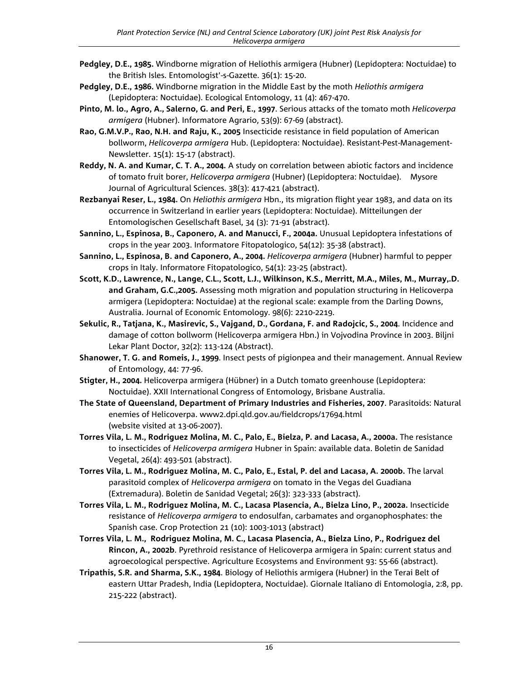- **Pedgley, D.E., 1985.** Windborne migration of Heliothis armigera (Hubner) (Lepidoptera: Noctuidae) to the British Isles. Entomologist'-s-Gazette. 36(1): 15-20.
- **Pedgley, D.E., 1986.** Windborne migration in the Middle East by the moth *Heliothis armigera* (Lepidoptera: Noctuidae). Ecological Entomology, 11 (4): 467-470.
- **Pinto, M. lo., Agro, A., Salerno, G. and Peri, E., 1997**. Serious attacks of the tomato moth *Helicoverpa armigera* (Hubner). Informatore Agrario, 53(9): 67-69 (abstract).
- **Rao, G.M.V.P., Rao, N.H. and Raju, K., 2005** Insecticide resistance in field population of American bollworm, *Helicoverpa armigera* Hub. (Lepidoptera: Noctuidae). Resistant-Pest-Management-Newsletter. 15(1): 15-17 (abstract).
- **Reddy, N. A. and Kumar, C. T. A., 2004.** A study on correlation between abiotic factors and incidence of tomato fruit borer, *Helicoverpa armigera* (Hubner) (Lepidoptera: Noctuidae). Mysore Journal of Agricultural Sciences. 38(3): 417-421 (abstract).
- **Rezbanyai Reser, L., 1984.** On *Heliothis armigera* Hbn., its migration flight year 1983, and data on its occurrence in Switzerland in earlier years (Lepidoptera: Noctuidae). Mitteilungen der Entomologischen Gesellschaft Basel, 34 (3): 71-91 (abstract).
- **Sannino, L., Espinosa, B., Caponero, A. and Manucci, F., 2004a.** Unusual Lepidoptera infestations of crops in the year 2003. Informatore Fitopatologico, 54(12): 35-38 (abstract).
- **Sannino, L., Espinosa, B. and Caponero, A., 2004.** *Helicoverpa armigera* (Hubner) harmful to pepper crops in Italy. Informatore Fitopatologico, 54(1): 23-25 (abstract).
- **Scott, K.D., Lawrence, N., Lange, C.L., Scott, L.J., Wilkinson, K.S., Merritt, M.A., Miles, M., Murray,.D. and Graham, G.C.,2005.** Assessing moth migration and population structuring in Helicoverpa armigera (Lepidoptera: Noctuidae) at the regional scale: example from the Darling Downs, Australia. Journal of Economic Entomology. 98(6): 2210-2219.
- **Sekulic, R., Tatjana, K., Masirevic, S., Vajgand, D., Gordana, F. and Radojcic, S., 2004**. Incidence and damage of cotton bollworm (Helicoverpa armigera Hbn.) in Vojvodina Province in 2003. Biljni Lekar Plant Doctor, 32(2): 113-124 (Abstract).
- **Shanower, T. G. and Romeis, J., 1999**. Insect pests of pigionpea and their management. Annual Review of Entomology, 44: 77-96.
- **Stigter, H., 2004.** Helicoverpa armigera (Hübner) in a Dutch tomato greenhouse (Lepidoptera: Noctuidae). XXII International Congress of Entomology, Brisbane Australia.
- **The State of Queensland, Department of Primary Industries and Fisheries, 2007**. Parasitoids: Natural enemies of Helicoverpa. www2.dpi.qld.gov.au/fieldcrops/17694.html (website visited at 13-06-2007).
- **Torres Vila, L. M., Rodriguez Molina, M. C., Palo, E., Bielza, P. and Lacasa, A., 2000a.** The resistance to insecticides of *Helicoverpa armigera* Hubner in Spain: available data. Boletin de Sanidad Vegetal, 26(4): 493-501 (abstract).
- **Torres Vila, L. M., Rodriguez Molina, M. C., Palo, E., Estal, P. del and Lacasa, A. 2000b.** The larval parasitoid complex of *Helicoverpa armigera* on tomato in the Vegas del Guadiana (Extremadura). Boletin de Sanidad Vegetal; 26(3): 323-333 (abstract).
- **Torres Vila, L. M., Rodriguez Molina, M. C., Lacasa Plasencia, A., Bielza Lino, P., 2002a.** Insecticide resistance of *Helicoverpa armigera* to endosulfan, carbamates and organophosphates: the Spanish case. Crop Protection 21 (10): 1003-1013 (abstract)
- **Torres Vila, L. M., Rodriguez Molina, M. C., Lacasa Plasencia, A., Bielza Lino, P., Rodriguez del Rincon, A., 2002b**. Pyrethroid resistance of Helicoverpa armigera in Spain: current status and agroecological perspective. Agriculture Ecosystems and Environment 93: 55-66 (abstract).
- **Tripathis, S.R. and Sharma, S.K., 1984**. Biology of Heliothis armigera (Hubner) in the Terai Belt of eastern Uttar Pradesh, India (Lepidoptera, Noctuidae). Giornale Italiano di Entomologia, 2:8, pp. 215-222 (abstract).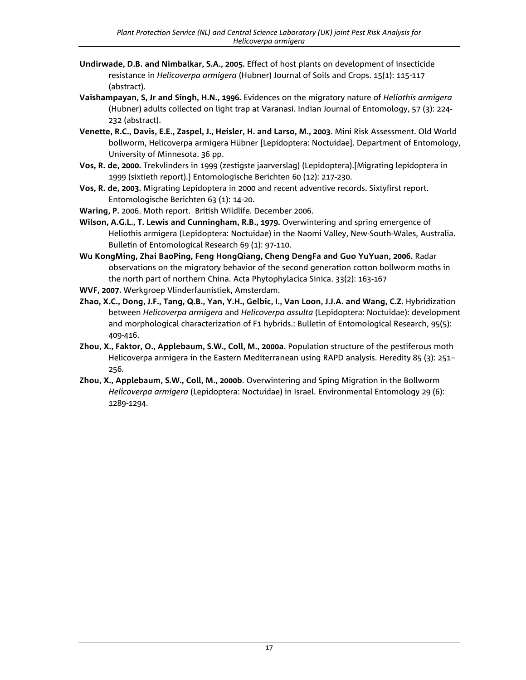- **Undirwade, D.B. and Nimbalkar, S.A., 2005.** Effect of host plants on development of insecticide resistance in *Helicoverpa armigera* (Hubner) Journal of Soils and Crops. 15(1): 115-117 (abstract).
- **Vaishampayan, S, Jr and Singh, H.N., 1996.** Evidences on the migratory nature of *Heliothis armigera*  (Hubner) adults collected on light trap at Varanasi. Indian Journal of Entomology, 57 (3): 224- 232 (abstract).
- **Venette, R.C., Davis, E.E., Zaspel, J., Heisler, H. and Larso, M., 2003**. Mini Risk Assessment. Old World bollworm, Helicoverpa armigera Hübner [Lepidoptera: Noctuidae]. Department of Entomology, University of Minnesota. 36 pp.
- **Vos, R. de, 2000.** Trekvlinders in 1999 (zestigste jaarverslag) (Lepidoptera).[Migrating lepidoptera in 1999 (sixtieth report).] Entomologische Berichten 60 (12): 217-230.
- **Vos, R. de, 2003.** Migrating Lepidoptera in 2000 and recent adventive records. Sixtyfirst report. Entomologische Berichten 63 (1): 14-20.
- **Waring, P.** 2006. Moth report. British Wildlife. December 2006.
- **Wilson, A.G.L., T. Lewis and Cunningham, R.B., 1979.** Overwintering and spring emergence of Heliothis armigera (Lepidoptera: Noctuidae) in the Naomi Valley, New-South-Wales, Australia. Bulletin of Entomological Research 69 (1): 97-110.
- **Wu KongMing, Zhai BaoPing, Feng HongQiang, Cheng DengFa and Guo YuYuan, 2006.** Radar observations on the migratory behavior of the second generation cotton bollworm moths in the north part of northern China. Acta Phytophylacica Sinica. 33(2): 163-167
- **WVF, 2007.** Werkgroep Vlinderfaunistiek, Amsterdam.
- **Zhao, X.C., Dong, J.F., Tang, Q.B., Yan, Y.H., Gelbic, I., Van Loon, J.J.A. and Wang, C.Z.** Hybridization between *Helicoverpa armigera* and *Helicoverpa assulta* (Lepidoptera: Noctuidae): development and morphological characterization of F1 hybrids.: Bulletin of Entomological Research, 95(5): 409-416.
- **Zhou, X., Faktor, O., Applebaum, S.W., Coll, M., 2000a**. Population structure of the pestiferous moth Helicoverpa armigera in the Eastern Mediterranean using RAPD analysis. Heredity 85 (3): 251– 256.
- **Zhou, X., Applebaum, S.W., Coll, M., 2000b**. Overwintering and Sping Migration in the Bollworm *Helicoverpa armigera* (Lepidoptera: Noctuidae) in Israel. Environmental Entomology 29 (6): 1289-1294.